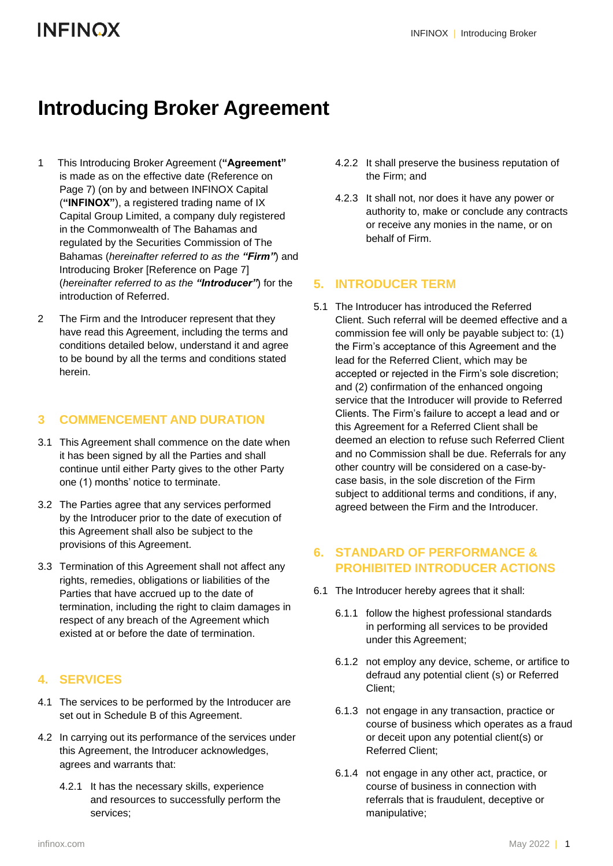## **Introducing Broker Agreement**

- 1 This Introducing Broker Agreement (**"Agreement"** is made as on the effective date (Reference on Page 7) (on by and between INFINOX Capital (**"INFINOX"**), a registered trading name of IX Capital Group Limited, a company duly registered in the Commonwealth of The Bahamas and regulated by the Securities Commission of The Bahamas (*hereinafter referred to as the "Firm"*) and Introducing Broker [Reference on Page 7] (*hereinafter referred to as the "Introducer"*) for the introduction of Referred.
- 2 The Firm and the Introducer represent that they have read this Agreement, including the terms and conditions detailed below, understand it and agree to be bound by all the terms and conditions stated herein.

#### **3 COMMENCEMENT AND DURATION**

- 3.1 This Agreement shall commence on the date when it has been signed by all the Parties and shall continue until either Party gives to the other Party one (1) months' notice to terminate.
- 3.2 The Parties agree that any services performed by the Introducer prior to the date of execution of this Agreement shall also be subject to the provisions of this Agreement.
- 3.3 Termination of this Agreement shall not affect any rights, remedies, obligations or liabilities of the Parties that have accrued up to the date of termination, including the right to claim damages in respect of any breach of the Agreement which existed at or before the date of termination.

#### **4. SERVICES**

- 4.1 The services to be performed by the Introducer are set out in Schedule B of this Agreement.
- 4.2 In carrying out its performance of the services under this Agreement, the Introducer acknowledges, agrees and warrants that:
	- 4.2.1 It has the necessary skills, experience and resources to successfully perform the services;
- 4.2.2 It shall preserve the business reputation of the Firm; and
- 4.2.3 It shall not, nor does it have any power or authority to, make or conclude any contracts or receive any monies in the name, or on behalf of Firm.

#### **5. INTRODUCER TERM**

5.1 The Introducer has introduced the Referred Client. Such referral will be deemed effective and a commission fee will only be payable subject to: (1) the Firm's acceptance of this Agreement and the lead for the Referred Client, which may be accepted or rejected in the Firm's sole discretion; and (2) confirmation of the enhanced ongoing service that the Introducer will provide to Referred Clients. The Firm's failure to accept a lead and or this Agreement for a Referred Client shall be deemed an election to refuse such Referred Client and no Commission shall be due. Referrals for any other country will be considered on a case-bycase basis, in the sole discretion of the Firm subject to additional terms and conditions, if any, agreed between the Firm and the Introducer.

#### **6. STANDARD OF PERFORMANCE & PROHIBITED INTRODUCER ACTIONS**

- 6.1 The Introducer hereby agrees that it shall:
	- 6.1.1 follow the highest professional standards in performing all services to be provided under this Agreement;
	- 6.1.2 not employ any device, scheme, or artifice to defraud any potential client (s) or Referred Client;
	- 6.1.3 not engage in any transaction, practice or course of business which operates as a fraud or deceit upon any potential client(s) or Referred Client;
	- 6.1.4 not engage in any other act, practice, or course of business in connection with referrals that is fraudulent, deceptive or manipulative;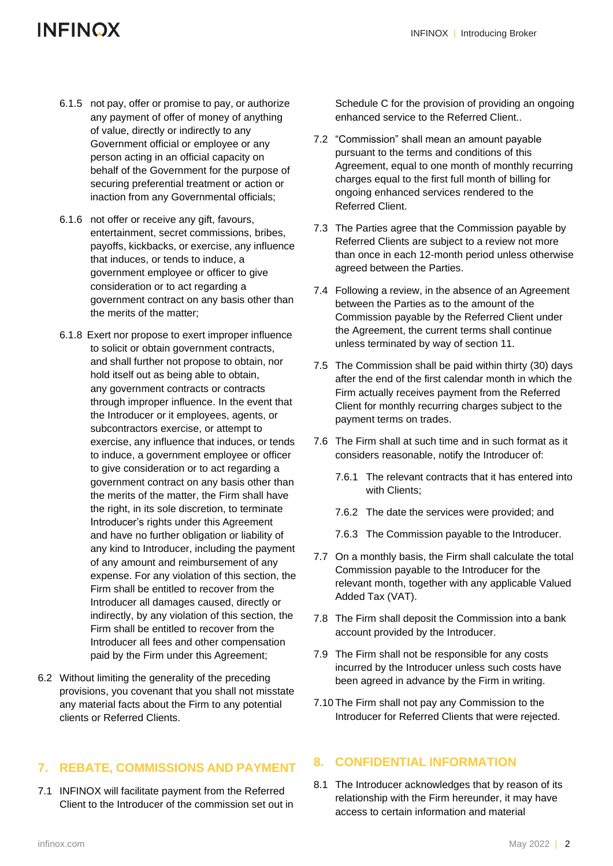- 6.1.5 not pay, offer or promise to pay, or authorize any payment of offer of money of anything of value, directly or indirectly to any Government official or employee or any person acting in an official capacity on behalf of the Government for the purpose of securing preferential treatment or action or inaction from any Governmental officials;
- 6.1.6 not offer or receive any gift, favours, entertainment, secret commissions, bribes, payoffs, kickbacks, or exercise, any influence that induces, or tends to induce, a government employee or officer to give consideration or to act regarding a government contract on any basis other than the merits of the matter;
- 6.1.8 Exert nor propose to exert improper influence to solicit or obtain government contracts, and shall further not propose to obtain, nor hold itself out as being able to obtain, any government contracts or contracts through improper influence. In the event that the Introducer or it employees, agents, or subcontractors exercise, or attempt to exercise, any influence that induces, or tends to induce, a government employee or officer to give consideration or to act regarding a government contract on any basis other than the merits of the matter, the Firm shall have the right, in its sole discretion, to terminate Introducer's rights under this Agreement and have no further obligation or liability of any kind to Introducer, including the payment of any amount and reimbursement of any expense. For any violation of this section, the Firm shall be entitled to recover from the Introducer all damages caused, directly or indirectly, by any violation of this section, the Firm shall be entitled to recover from the Introducer all fees and other compensation paid by the Firm under this Agreement;
- 6.2 Without limiting the generality of the preceding provisions, you covenant that you shall not misstate any material facts about the Firm to any potential clients or Referred Clients.

### **7. REBATE, COMMISSIONS AND PAYMENT**

7.1 INFINOX will facilitate payment from the Referred Client to the Introducer of the commission set out in Schedule C for the provision of providing an ongoing enhanced service to the Referred Client..

- 7.2 "Commission" shall mean an amount payable pursuant to the terms and conditions of this Agreement, equal to one month of monthly recurring charges equal to the first full month of billing for ongoing enhanced services rendered to the Referred Client.
- 7.3 The Parties agree that the Commission payable by Referred Clients are subject to a review not more than once in each 12-month period unless otherwise agreed between the Parties.
- 7.4 Following a review, in the absence of an Agreement between the Parties as to the amount of the Commission payable by the Referred Client under the Agreement, the current terms shall continue unless terminated by way of section 11.
- 7.5 The Commission shall be paid within thirty (30) days after the end of the first calendar month in which the Firm actually receives payment from the Referred Client for monthly recurring charges subject to the payment terms on trades.
- 7.6 The Firm shall at such time and in such format as it considers reasonable, notify the Introducer of:
	- 7.6.1 The relevant contracts that it has entered into with Clients;
	- 7.6.2 The date the services were provided; and
	- 7.6.3 The Commission payable to the Introducer.
- 7.7 On a monthly basis, the Firm shall calculate the total Commission payable to the Introducer for the relevant month, together with any applicable Valued Added Tax (VAT).
- 7.8 The Firm shall deposit the Commission into a bank account provided by the Introducer.
- 7.9 The Firm shall not be responsible for any costs incurred by the Introducer unless such costs have been agreed in advance by the Firm in writing.
- 7.10 The Firm shall not pay any Commission to the Introducer for Referred Clients that were rejected.

### **8. CONFIDENTIAL INFORMATION**

8.1 The Introducer acknowledges that by reason of its relationship with the Firm hereunder, it may have access to certain information and material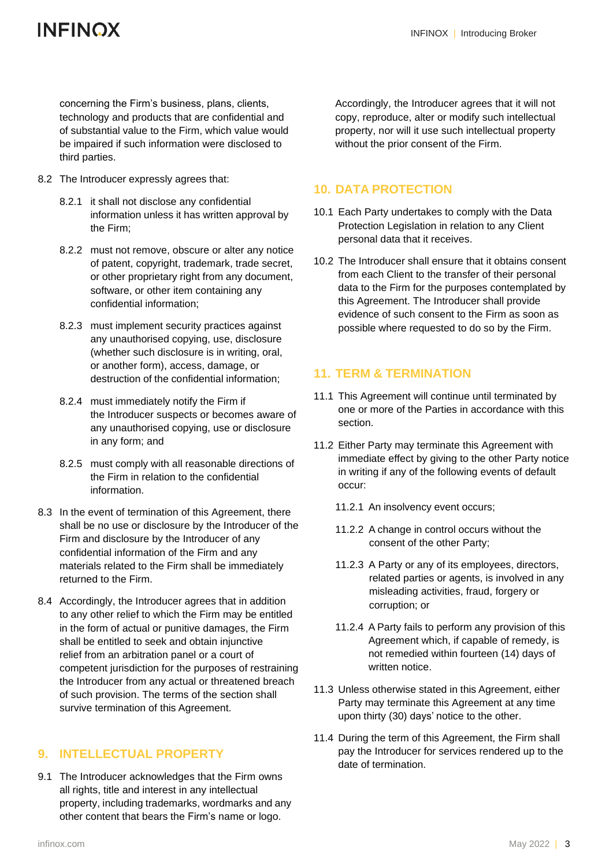concerning the Firm's business, plans, clients, technology and products that are confidential and of substantial value to the Firm, which value would be impaired if such information were disclosed to third parties.

- 8.2 The Introducer expressly agrees that:
	- 8.2.1 it shall not disclose any confidential information unless it has written approval by the Firm;
	- 8.2.2 must not remove, obscure or alter any notice of patent, copyright, trademark, trade secret, or other proprietary right from any document, software, or other item containing any confidential information;
	- 8.2.3 must implement security practices against any unauthorised copying, use, disclosure (whether such disclosure is in writing, oral, or another form), access, damage, or destruction of the confidential information;
	- 8.2.4 must immediately notify the Firm if the Introducer suspects or becomes aware of any unauthorised copying, use or disclosure in any form; and
	- 8.2.5 must comply with all reasonable directions of the Firm in relation to the confidential information.
- 8.3 In the event of termination of this Agreement, there shall be no use or disclosure by the Introducer of the Firm and disclosure by the Introducer of any confidential information of the Firm and any materials related to the Firm shall be immediately returned to the Firm.
- 8.4 Accordingly, the Introducer agrees that in addition to any other relief to which the Firm may be entitled in the form of actual or punitive damages, the Firm shall be entitled to seek and obtain injunctive relief from an arbitration panel or a court of competent jurisdiction for the purposes of restraining the Introducer from any actual or threatened breach of such provision. The terms of the section shall survive termination of this Agreement.

#### **9. INTELLECTUAL PROPERTY**

9.1 The Introducer acknowledges that the Firm owns all rights, title and interest in any intellectual property, including trademarks, wordmarks and any other content that bears the Firm's name or logo.

Accordingly, the Introducer agrees that it will not copy, reproduce, alter or modify such intellectual property, nor will it use such intellectual property without the prior consent of the Firm.

#### **10. DATA PROTECTION**

- 10.1 Each Party undertakes to comply with the Data Protection Legislation in relation to any Client personal data that it receives.
- 10.2 The Introducer shall ensure that it obtains consent from each Client to the transfer of their personal data to the Firm for the purposes contemplated by this Agreement. The Introducer shall provide evidence of such consent to the Firm as soon as possible where requested to do so by the Firm.

#### **11. TERM & TERMINATION**

- 11.1 This Agreement will continue until terminated by one or more of the Parties in accordance with this section.
- 11.2 Either Party may terminate this Agreement with immediate effect by giving to the other Party notice in writing if any of the following events of default occur:
	- 11.2.1 An insolvency event occurs;
	- 11.2.2 A change in control occurs without the consent of the other Party;
	- 11.2.3 A Party or any of its employees, directors, related parties or agents, is involved in any misleading activities, fraud, forgery or corruption; or
	- 11.2.4 A Party fails to perform any provision of this Agreement which, if capable of remedy, is not remedied within fourteen (14) days of written notice.
- 11.3 Unless otherwise stated in this Agreement, either Party may terminate this Agreement at any time upon thirty (30) days' notice to the other.
- 11.4 During the term of this Agreement, the Firm shall pay the Introducer for services rendered up to the date of termination.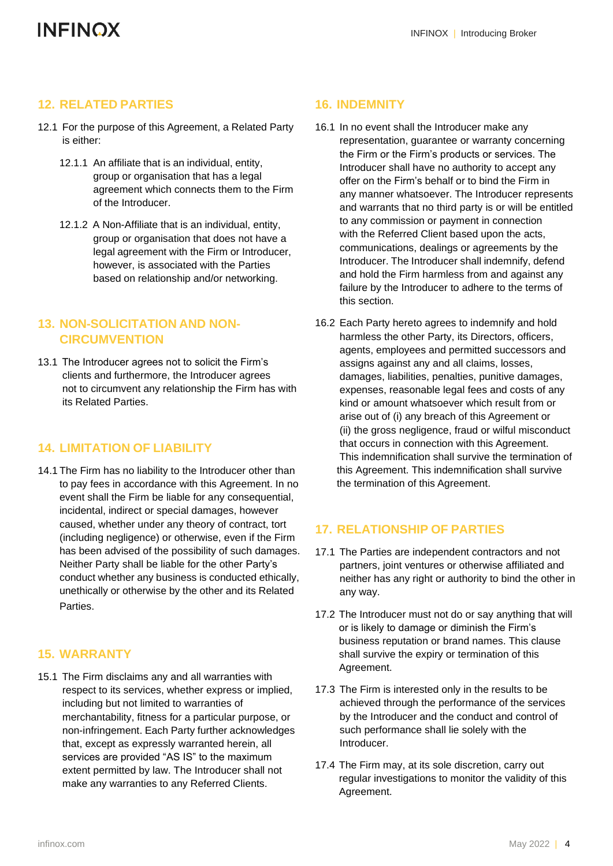#### **12. RELATED PARTIES**

- 12.1 For the purpose of this Agreement, a Related Party is either:
	- 12.1.1 An affiliate that is an individual, entity, group or organisation that has a legal agreement which connects them to the Firm of the Introducer.
	- 12.1.2 A Non-Affiliate that is an individual, entity, group or organisation that does not have a legal agreement with the Firm or Introducer, however, is associated with the Parties based on relationship and/or networking.

#### **13. NON-SOLICITATION AND NON-CIRCUMVENTION**

13.1 The Introducer agrees not to solicit the Firm's clients and furthermore, the Introducer agrees not to circumvent any relationship the Firm has with its Related Parties.

#### **14. LIMITATION OF LIABILITY**

14.1 The Firm has no liability to the Introducer other than to pay fees in accordance with this Agreement. In no event shall the Firm be liable for any consequential, incidental, indirect or special damages, however caused, whether under any theory of contract, tort (including negligence) or otherwise, even if the Firm has been advised of the possibility of such damages. Neither Party shall be liable for the other Party's conduct whether any business is conducted ethically, unethically or otherwise by the other and its Related Parties.

#### **15. WARRANTY**

15.1 The Firm disclaims any and all warranties with respect to its services, whether express or implied, including but not limited to warranties of merchantability, fitness for a particular purpose, or non-infringement. Each Party further acknowledges that, except as expressly warranted herein, all services are provided "AS IS" to the maximum extent permitted by law. The Introducer shall not make any warranties to any Referred Clients.

#### **16. INDEMNITY**

- 16.1 In no event shall the Introducer make any representation, guarantee or warranty concerning the Firm or the Firm's products or services. The Introducer shall have no authority to accept any offer on the Firm's behalf or to bind the Firm in any manner whatsoever. The Introducer represents and warrants that no third party is or will be entitled to any commission or payment in connection with the Referred Client based upon the acts. communications, dealings or agreements by the Introducer. The Introducer shall indemnify, defend and hold the Firm harmless from and against any failure by the Introducer to adhere to the terms of this section.
- 16.2 Each Party hereto agrees to indemnify and hold harmless the other Party, its Directors, officers, agents, employees and permitted successors and assigns against any and all claims, losses, damages, liabilities, penalties, punitive damages, expenses, reasonable legal fees and costs of any kind or amount whatsoever which result from or arise out of (i) any breach of this Agreement or (ii) the gross negligence, fraud or wilful misconduct that occurs in connection with this Agreement. This indemnification shall survive the termination of this Agreement. This indemnification shall survive the termination of this Agreement.

#### **17. RELATIONSHIP OF PARTIES**

- 17.1 The Parties are independent contractors and not partners, joint ventures or otherwise affiliated and neither has any right or authority to bind the other in any way.
- 17.2 The Introducer must not do or say anything that will or is likely to damage or diminish the Firm's business reputation or brand names. This clause shall survive the expiry or termination of this Agreement.
- 17.3 The Firm is interested only in the results to be achieved through the performance of the services by the Introducer and the conduct and control of such performance shall lie solely with the Introducer.
- 17.4 The Firm may, at its sole discretion, carry out regular investigations to monitor the validity of this Agreement.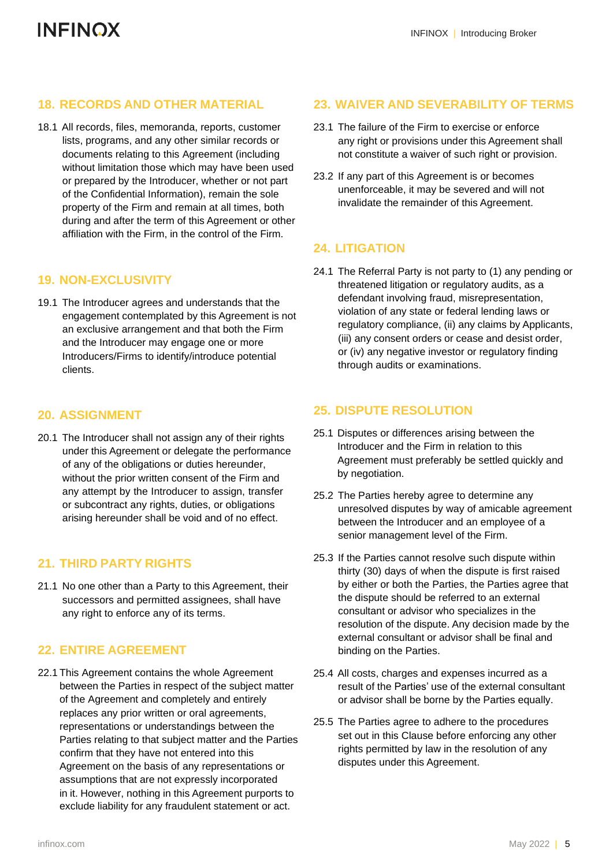#### **18. RECORDS AND OTHER MATERIAL**

18.1 All records, files, memoranda, reports, customer lists, programs, and any other similar records or documents relating to this Agreement (including without limitation those which may have been used or prepared by the Introducer, whether or not part of the Confidential Information), remain the sole property of the Firm and remain at all times, both during and after the term of this Agreement or other affiliation with the Firm, in the control of the Firm.

#### **19. NON-EXCLUSIVITY**

19.1 The Introducer agrees and understands that the engagement contemplated by this Agreement is not an exclusive arrangement and that both the Firm and the Introducer may engage one or more Introducers/Firms to identify/introduce potential clients.

#### **20. ASSIGNMENT**

20.1 The Introducer shall not assign any of their rights under this Agreement or delegate the performance of any of the obligations or duties hereunder, without the prior written consent of the Firm and any attempt by the Introducer to assign, transfer or subcontract any rights, duties, or obligations arising hereunder shall be void and of no effect.

#### **21. THIRD PARTY RIGHTS**

21.1 No one other than a Party to this Agreement, their successors and permitted assignees, shall have any right to enforce any of its terms.

#### **22. ENTIRE AGREEMENT**

22.1 This Agreement contains the whole Agreement between the Parties in respect of the subject matter of the Agreement and completely and entirely replaces any prior written or oral agreements, representations or understandings between the Parties relating to that subject matter and the Parties confirm that they have not entered into this Agreement on the basis of any representations or assumptions that are not expressly incorporated in it. However, nothing in this Agreement purports to exclude liability for any fraudulent statement or act.

#### **23. WAIVER AND SEVERABILITY OF TERMS**

- 23.1 The failure of the Firm to exercise or enforce any right or provisions under this Agreement shall not constitute a waiver of such right or provision.
- 23.2 If any part of this Agreement is or becomes unenforceable, it may be severed and will not invalidate the remainder of this Agreement.

#### **24. LITIGATION**

24.1 The Referral Party is not party to (1) any pending or threatened litigation or regulatory audits, as a defendant involving fraud, misrepresentation, violation of any state or federal lending laws or regulatory compliance, (ii) any claims by Applicants, (iii) any consent orders or cease and desist order, or (iv) any negative investor or regulatory finding through audits or examinations.

#### **25. DISPUTE RESOLUTION**

- 25.1 Disputes or differences arising between the Introducer and the Firm in relation to this Agreement must preferably be settled quickly and by negotiation.
- 25.2 The Parties hereby agree to determine any unresolved disputes by way of amicable agreement between the Introducer and an employee of a senior management level of the Firm.
- 25.3 If the Parties cannot resolve such dispute within thirty (30) days of when the dispute is first raised by either or both the Parties, the Parties agree that the dispute should be referred to an external consultant or advisor who specializes in the resolution of the dispute. Any decision made by the external consultant or advisor shall be final and binding on the Parties.
- 25.4 All costs, charges and expenses incurred as a result of the Parties' use of the external consultant or advisor shall be borne by the Parties equally.
- 25.5 The Parties agree to adhere to the procedures set out in this Clause before enforcing any other rights permitted by law in the resolution of any disputes under this Agreement.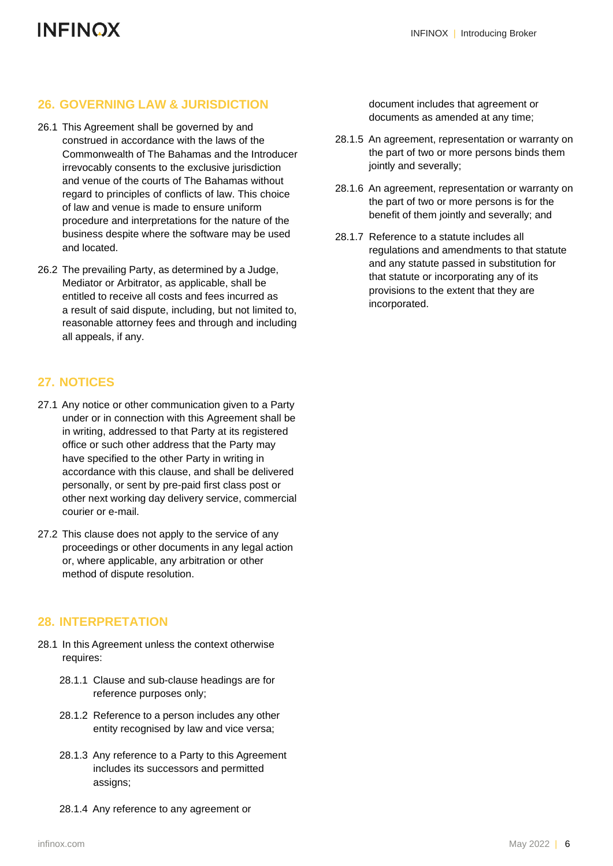#### **26. GOVERNING LAW & JURISDICTION**

- 26.1 This Agreement shall be governed by and construed in accordance with the laws of the Commonwealth of The Bahamas and the Introducer irrevocably consents to the exclusive jurisdiction and venue of the courts of The Bahamas without regard to principles of conflicts of law. This choice of law and venue is made to ensure uniform procedure and interpretations for the nature of the business despite where the software may be used and located.
- 26.2 The prevailing Party, as determined by a Judge, Mediator or Arbitrator, as applicable, shall be entitled to receive all costs and fees incurred as a result of said dispute, including, but not limited to, reasonable attorney fees and through and including all appeals, if any.

#### **27. NOTICES**

- 27.1 Any notice or other communication given to a Party under or in connection with this Agreement shall be in writing, addressed to that Party at its registered office or such other address that the Party may have specified to the other Party in writing in accordance with this clause, and shall be delivered personally, or sent by pre-paid first class post or other next working day delivery service, commercial courier or e-mail.
- 27.2 This clause does not apply to the service of any proceedings or other documents in any legal action or, where applicable, any arbitration or other method of dispute resolution.

#### **28. INTERPRETATION**

- 28.1 In this Agreement unless the context otherwise requires:
	- 28.1.1 Clause and sub-clause headings are for reference purposes only;
	- 28.1.2 Reference to a person includes any other entity recognised by law and vice versa;
	- 28.1.3 Any reference to a Party to this Agreement includes its successors and permitted assigns;
	- 28.1.4 Any reference to any agreement or

document includes that agreement or documents as amended at any time;

- 28.1.5 An agreement, representation or warranty on the part of two or more persons binds them jointly and severally;
- 28.1.6 An agreement, representation or warranty on the part of two or more persons is for the benefit of them jointly and severally; and
- 28.1.7 Reference to a statute includes all regulations and amendments to that statute and any statute passed in substitution for that statute or incorporating any of its provisions to the extent that they are incorporated.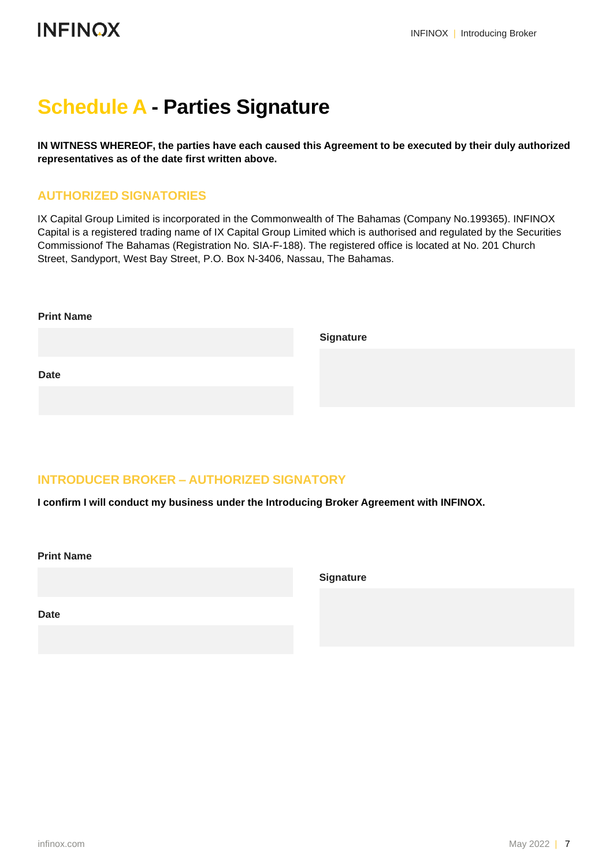# **Schedule A - Parties Signature**

**IN WITNESS WHEREOF, the parties have each caused this Agreement to be executed by their duly authorized representatives as of the date first written above.**

### **AUTHORIZED SIGNATORIES**

IX Capital Group Limited is incorporated in the Commonwealth of The Bahamas (Company No.199365). INFINOX Capital is a registered trading name of IX Capital Group Limited which is authorised and regulated by the Securities Commissionof The Bahamas (Registration No. SIA-F-188). The registered office is located at No. 201 Church Street, Sandyport, West Bay Street, P.O. Box N-3406, Nassau, The Bahamas.

| <b>Print Name</b> |                  |
|-------------------|------------------|
|                   | <b>Signature</b> |
|                   |                  |
| <b>Date</b>       |                  |
|                   |                  |

### **INTRODUCER BROKER – AUTHORIZED SIGNATORY**

**I confirm I will conduct my business under the Introducing Broker Agreement with INFINOX.**

**Print Name**

**Signature**

**Date**